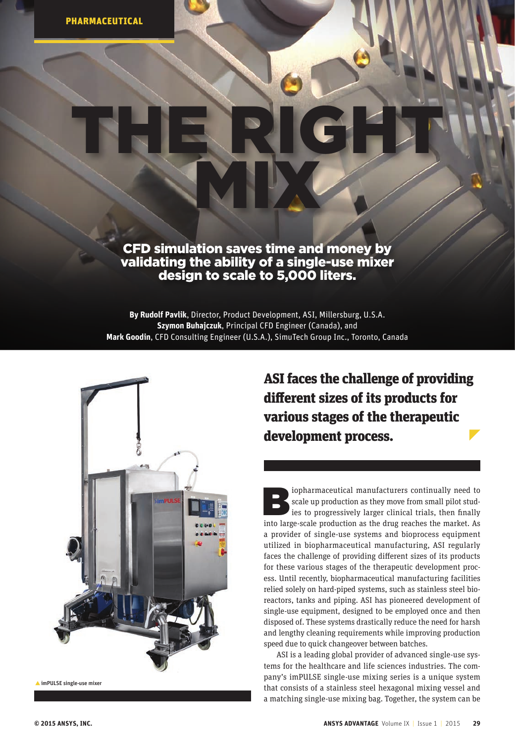## CFD simulation saves time and money by validating the ability of a single-use mixer design to scale to 5,000 liters.

MIX

THE RIGHT!

**By Rudolf Pavlik**, Director, Product Development, ASI, Millersburg, U.S.A. **Szymon Buhajczuk**, Principal CFD Engineer (Canada), and **Mark Goodin**, CFD Consulting Engineer (U.S.A.), SimuTech Group Inc., Toronto, Canada



imPULSE single-use mixer

ASI faces the challenge of providing different sizes of its products for various stages of the therapeutic development process.

scale up production as they move from small pilot studies to progressively larger clinical trials, then finally into large-scale production as the drug reaches the market. As scale up production as they move from small pilot studies to progressively larger clinical trials, then finally into large-scale production as the drug reaches the market. As a provider of single-use systems and bioprocess equipment utilized i[n biopharmaceutical manufacturing,](http://www.ansys.com/Industries/Healthcare/Pharmaceutical) ASI regularly faces the challenge of providing different sizes of its products for these various stages of the therapeutic development process. Until recently, biopharmaceutical manufacturing facilities relied solely on hard-piped systems, such as stainless steel bioreactors, tanks and piping. ASI has pioneered development of single-use equipment, designed to be employed once and then disposed of. These systems drastically reduce the need for harsh and lengthy cleaning requirements while improving production speed due to quick changeover between batches.

ASI is a leading global provider of advanced single-use systems for the healthcare and life sciences industries. The company's imPULSE single-use mixing series is a unique system that consists of a stainless steel hexagonal mixing vessel and a matching single-use mixing bag. Together, the system can be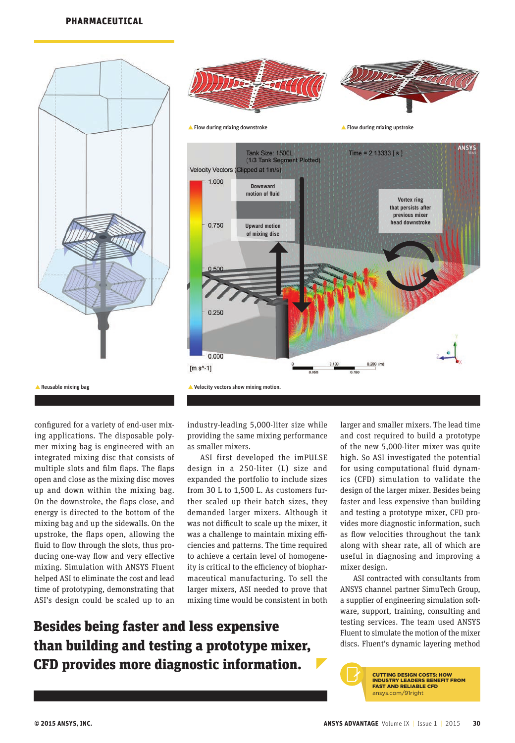





**A** Reusable mixing bag

configured for a variety of end-user mixing applications. The disposable polymer mixing bag is engineered with an integrated mixing disc that consists of multiple slots and film flaps. The flaps open and close as the mixing disc moves up and down within the mixing bag. On the downstroke, the flaps close, and energy is directed to the bottom of the mixing bag and up the sidewalls. On the upstroke, the flaps open, allowing the fluid to flow through the slots, thus producing one-way flow and very effective mixing. Simulation with [ANSYS Fluent](http://www.ansys.com/Products/Simulation+Technology/Fluid+Dynamics/Fluid+Dynamics+Products/ANSYS+Fluent)  helped ASI to eliminate the cost and lead time of prototyping, demonstrating that ASI's design could be scaled up to an

industry-leading 5,000-liter size while providing the same mixing performance as smaller mixers.

ASI first developed the imPULSE design in a 250-liter (L) size and expanded the portfolio to include sizes from 30 L to 1,500 L. As customers further scaled up their batch sizes, they demanded larger mixers. Although it was not difficult to scale up the mixer, it was a challenge to maintain mixing efficiencies and patterns. The time required to achieve a certain level of homogeneity is critical to the efficiency of biopharmaceutical manufacturing. To sell the larger mixers, ASI needed to prove that mixing time would be consistent in both

Besides being faster and less expensive than building and testing a prototype mixer, CFD provides more diagnostic information.

larger and smaller mixers. The lead time and cost required to build a prototype of the new 5,000-liter mixer was quite high. So ASI investigated the potential for using computational fluid dynamics (CFD) simulation to validate the design of the larger mixer. Besides being faster and less expensive than building and testing a prototype mixer, CFD provides more diagnostic information, such as flow velocities throughout the tank along with shear rate, all of which are useful in diagnosing and improving a mixer design.

ANSYS

ASI contracted with consultants from ANSYS channel partner SimuTech Group, a supplier of engineering simulation software, support, training, consulting and testing services. The team used ANSYS Fluent to simulate the motion of the mixer discs. Fluent's dynamic layering method

> CUTTING DESIGN COSTS: HOW [INDUSTRY LEADERS BENEFIT FROM](http://www.ansys.com/91right)  FAST AND RELIABLE CFD ansys.com/91right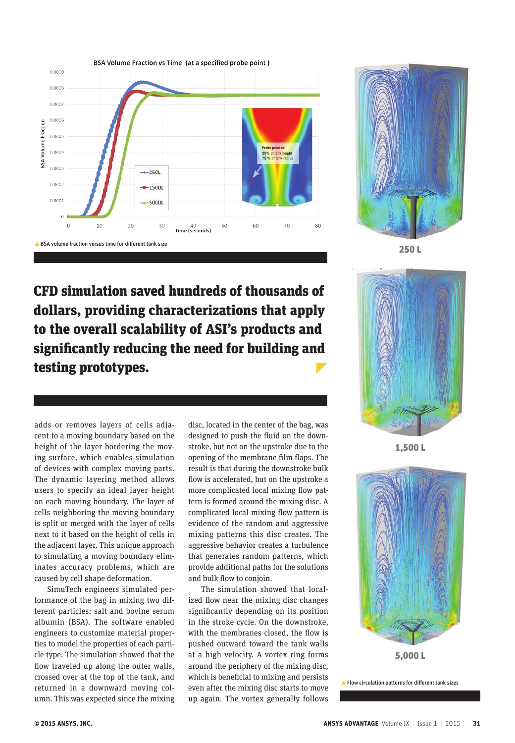



250 L

CFD simulation saved hundreds of thousands of dollars, providing characterizations that apply to the overall scalability of ASI's products and significantly reducing the need for building and testing prototypes.

adds or removes layers of cells adjacent to a moving boundary based on the height of the layer bordering the moving surface, which enables simulation of devices with complex moving parts. The dynamic layering method allows users to specify an ideal layer height on each moving boundary. The layer of cells neighboring the moving boundary is split or merged with the layer of cells next to it based on the height of cells in the adjacent layer. This unique approach to simulating a moving boundary eliminates accuracy problems, which are caused by cell shape deformation.

SimuTech engineers simulated performance of the bag in mixing two different particles: salt and bovine serum albumin (BSA). The software enabled engineers to customize material properties to model the properties of each particle type. The simulation showed that the flow traveled up along the outer walls, crossed over at the top of the tank, and returned in a downward moving column. This was expected since the mixing disc, located in the center of the bag, was designed to push the fluid on the downstroke, but not on the upstroke due to the opening of the membrane film flaps. The result is that during the downstroke bulk flow is accelerated, but on the upstroke a more complicated local mixing flow pattern is formed around the mixing disc. A complicated local mixing flow pattern is evidence of the random and aggressive mixing patterns this disc creates. The aggressive behavior creates a turbulence that generates random patterns, which provide additional paths for the solutions and bulk flow to conjoin.

The simulation showed that localized flow near the mixing disc changes significantly depending on its position in the stroke cycle. On the downstroke, with the membranes closed, the flow is pushed outward toward the tank walls at a high velocity. A vortex ring forms around the periphery of the mixing disc, which is beneficial to mixing and persists even after the mixing disc starts to move up again. The vortex generally follows



1,500 L



5,000 L

Flow circulation patterns for different tank sizes